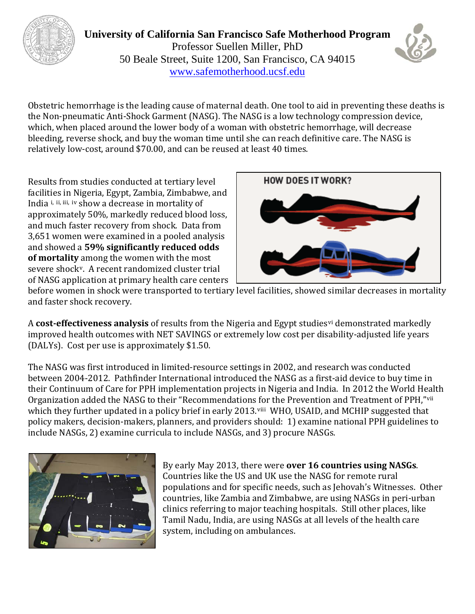

**University of California San Francisco Safe Motherhood Program** Professor Suellen Miller, PhD 50 Beale Street, Suite 1200, San Francisco, CA 94015 [www.safemotherhood.ucsf.edu](http://www.safemotherhood.ucsf.edu/)



Obstetric hemorrhage is the leading cause of maternal death. One tool to aid in preventing these deaths is the Non-pneumatic Anti-Shock Garment (NASG). The NASG is a low technology compression device, which, when placed around the lower body of a woman with obstetric hemorrhage, will decrease bleeding, reverse shock, and buy the woman time until she can reach definitive care. The NASG is relatively low-cost, around \$70.00, and can be reused at least 40 times.

Results from studies conducted at tertiary level faciliti[es](#page-1-1) [in](#page-1-2) [N](#page-1-3)igeria, Egypt, Zambia, Zimbabwe, and India [i,](#page-1-0) ii, iii, iv show a decrease in mortality of approximately 50%, markedly reduced blood loss, and much faster recovery from shock. Data from 3,651 women were examined in a pooled analysis and showed a **59% significantly reduced odds of mortality** among the women with the most severe shock[v.](#page-1-4) A recent randomized cluster trial of NASG application at primary health care centers



before women in shock were transported to tertiary level facilities, showed similar decreases in mortality and faster shock recovery.

A **cost-effectiveness analysis** of results from the Nigeria and Egypt studies[vi](#page-1-5) demonstrated markedly improved health outcomes with NET SAVINGS or extremely low cost per disability-adjusted life years (DALYs). Cost per use is approximately \$1.50.

The NASG was first introduced in limited-resource settings in 2002, and research was conducted between 2004-2012. Pathfinder International introduced the NASG as a first-aid device to buy time in their Continuum of Care for PPH implementation projects in Nigeria and India. In 2012 the World Health Organization added the NASG to their "Recommendations [fo](#page-1-7)r the Prevention and Treatment of PPH,"[vii](#page-1-6) which they further updated in a policy brief in early 2013.<sup>viii</sup> WHO, USAID, and MCHIP suggested that policy makers, decision-makers, planners, and providers should: 1) examine national PPH guidelines to include NASGs, 2) examine curricula to include NASGs, and 3) procure NASGs.



By early May 2013, there were **over 16 countries using NASGs**. Countries like the US and UK use the NASG for remote rural populations and for specific needs, such as Jehovah's Witnesses. Other countries, like Zambia and Zimbabwe, are using NASGs in peri-urban clinics referring to major teaching hospitals. Still other places, like Tamil Nadu, India, are using NASGs at all levels of the health care system, including on ambulances.